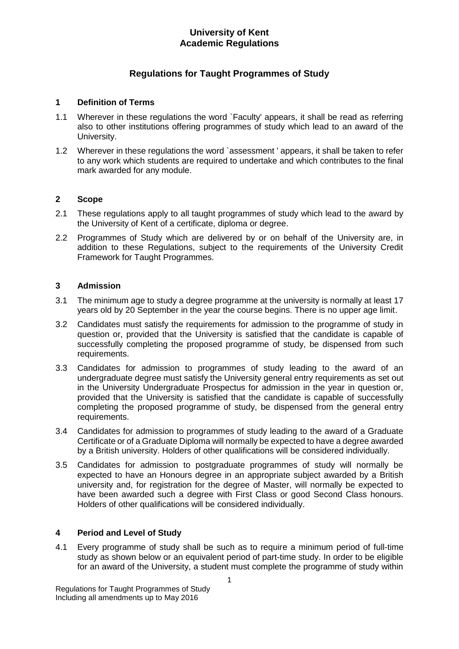# **Regulations for Taught Programmes of Study**

### **1 Definition of Terms**

- 1.1 Wherever in these regulations the word `Faculty' appears, it shall be read as referring also to other institutions offering programmes of study which lead to an award of the University.
- 1.2 Wherever in these regulations the word `assessment ' appears, it shall be taken to refer to any work which students are required to undertake and which contributes to the final mark awarded for any module.

## **2 Scope**

- 2.1 These regulations apply to all taught programmes of study which lead to the award by the University of Kent of a certificate, diploma or degree.
- 2.2 Programmes of Study which are delivered by or on behalf of the University are, in addition to these Regulations, subject to the requirements of the University Credit Framework for Taught Programmes.

## **3 Admission**

- 3.1 The minimum age to study a degree programme at the university is normally at least 17 years old by 20 September in the year the course begins. There is no upper age limit.
- 3.2 Candidates must satisfy the requirements for admission to the programme of study in question or, provided that the University is satisfied that the candidate is capable of successfully completing the proposed programme of study, be dispensed from such requirements.
- 3.3 Candidates for admission to programmes of study leading to the award of an undergraduate degree must satisfy the University general entry requirements as set out in the University Undergraduate Prospectus for admission in the year in question or, provided that the University is satisfied that the candidate is capable of successfully completing the proposed programme of study, be dispensed from the general entry requirements.
- 3.4 Candidates for admission to programmes of study leading to the award of a Graduate Certificate or of a Graduate Diploma will normally be expected to have a degree awarded by a British university. Holders of other qualifications will be considered individually.
- 3.5 Candidates for admission to postgraduate programmes of study will normally be expected to have an Honours degree in an appropriate subject awarded by a British university and, for registration for the degree of Master, will normally be expected to have been awarded such a degree with First Class or good Second Class honours. Holders of other qualifications will be considered individually.

## **4 Period and Level of Study**

4.1 Every programme of study shall be such as to require a minimum period of full-time study as shown below or an equivalent period of part-time study. In order to be eligible for an award of the University, a student must complete the programme of study within

Regulations for Taught Programmes of Study Including all amendments up to May 2016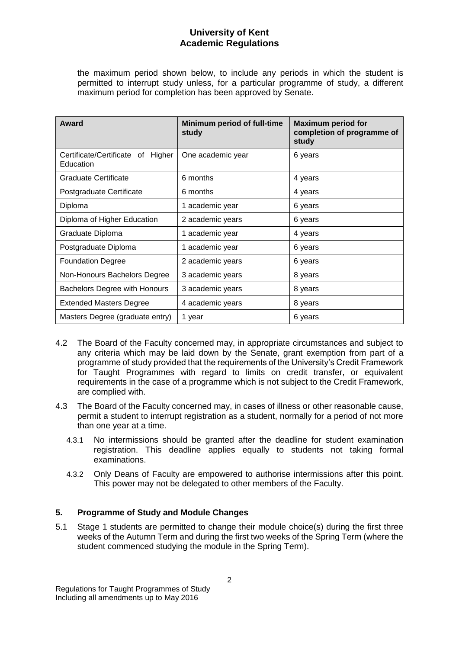the maximum period shown below, to include any periods in which the student is permitted to interrupt study unless, for a particular programme of study, a different maximum period for completion has been approved by Senate.

| Award                                             | Minimum period of full-time<br>study | <b>Maximum period for</b><br>completion of programme of<br>study |
|---------------------------------------------------|--------------------------------------|------------------------------------------------------------------|
| Certificate/Certificate of<br>Higher<br>Education | One academic year                    | 6 years                                                          |
| <b>Graduate Certificate</b>                       | 6 months                             | 4 years                                                          |
| Postgraduate Certificate                          | 6 months                             | 4 years                                                          |
| Diploma                                           | 1 academic year                      | 6 years                                                          |
| Diploma of Higher Education                       | 2 academic years                     | 6 years                                                          |
| Graduate Diploma                                  | 1 academic year                      | 4 years                                                          |
| Postgraduate Diploma                              | 1 academic year                      | 6 years                                                          |
| <b>Foundation Degree</b>                          | 2 academic years                     | 6 years                                                          |
| Non-Honours Bachelors Degree                      | 3 academic years                     | 8 years                                                          |
| Bachelors Degree with Honours                     | 3 academic years                     | 8 years                                                          |
| <b>Extended Masters Degree</b>                    | 4 academic years                     | 8 years                                                          |
| Masters Degree (graduate entry)                   | 1 year                               | 6 years                                                          |

- 4.2 The Board of the Faculty concerned may, in appropriate circumstances and subject to any criteria which may be laid down by the Senate, grant exemption from part of a programme of study provided that the requirements of the University's Credit Framework for Taught Programmes with regard to limits on credit transfer, or equivalent requirements in the case of a programme which is not subject to the Credit Framework, are complied with.
- 4.3 The Board of the Faculty concerned may, in cases of illness or other reasonable cause, permit a student to interrupt registration as a student, normally for a period of not more than one year at a time.
	- 4.3.1 No intermissions should be granted after the deadline for student examination registration. This deadline applies equally to students not taking formal examinations.
	- 4.3.2 Only Deans of Faculty are empowered to authorise intermissions after this point. This power may not be delegated to other members of the Faculty.

# **5. Programme of Study and Module Changes**

5.1 Stage 1 students are permitted to change their module choice(s) during the first three weeks of the Autumn Term and during the first two weeks of the Spring Term (where the student commenced studying the module in the Spring Term).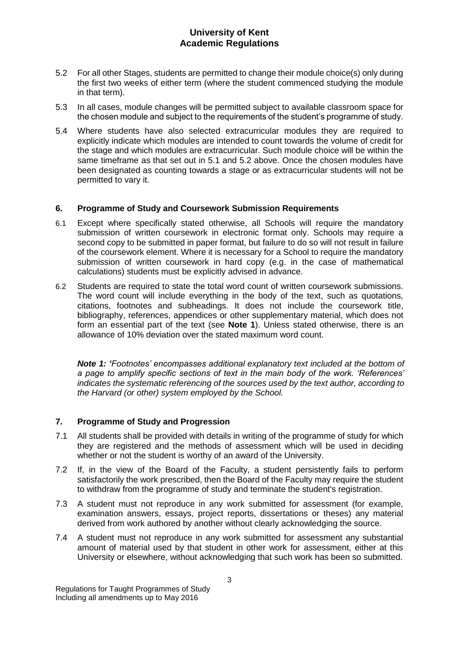- 5.2 For all other Stages, students are permitted to change their module choice(s) only during the first two weeks of either term (where the student commenced studying the module in that term).
- 5.3 In all cases, module changes will be permitted subject to available classroom space for the chosen module and subject to the requirements of the student's programme of study.
- 5.4 Where students have also selected extracurricular modules they are required to explicitly indicate which modules are intended to count towards the volume of credit for the stage and which modules are extracurricular. Such module choice will be within the same timeframe as that set out in 5.1 and 5.2 above. Once the chosen modules have been designated as counting towards a stage or as extracurricular students will not be permitted to vary it.

## **6. Programme of Study and Coursework Submission Requirements**

- 6.1 Except where specifically stated otherwise, all Schools will require the mandatory submission of written coursework in electronic format only. Schools may require a second copy to be submitted in paper format, but failure to do so will not result in failure of the coursework element. Where it is necessary for a School to require the mandatory submission of written coursework in hard copy (e.g. in the case of mathematical calculations) students must be explicitly advised in advance.
- 6.2 Students are required to state the total word count of written coursework submissions. The word count will include everything in the body of the text, such as quotations, citations, footnotes and subheadings. It does not include the coursework title, bibliography, references, appendices or other supplementary material, which does not form an essential part of the text (see **Note 1**). Unless stated otherwise, there is an allowance of 10% deviation over the stated maximum word count.

*Note 1: 'Footnotes' encompasses additional explanatory text included at the bottom of a page to amplify specific sections of text in the main body of the work. 'References' indicates the systematic referencing of the sources used by the text author, according to the Harvard (or other) system employed by the School.*

# **7. Programme of Study and Progression**

- 7.1 All students shall be provided with details in writing of the programme of study for which they are registered and the methods of assessment which will be used in deciding whether or not the student is worthy of an award of the University.
- 7.2 If, in the view of the Board of the Faculty, a student persistently fails to perform satisfactorily the work prescribed, then the Board of the Faculty may require the student to withdraw from the programme of study and terminate the student's registration.
- 7.3 A student must not reproduce in any work submitted for assessment (for example, examination answers, essays, project reports, dissertations or theses) any material derived from work authored by another without clearly acknowledging the source.
- 7.4 A student must not reproduce in any work submitted for assessment any substantial amount of material used by that student in other work for assessment, either at this University or elsewhere, without acknowledging that such work has been so submitted.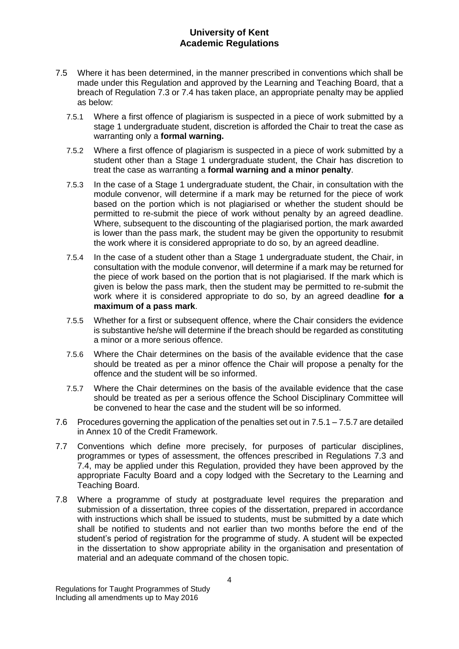- 7.5 Where it has been determined, in the manner prescribed in conventions which shall be made under this Regulation and approved by the Learning and Teaching Board, that a breach of Regulation 7.3 or 7.4 has taken place, an appropriate penalty may be applied as below:
	- 7.5.1 Where a first offence of plagiarism is suspected in a piece of work submitted by a stage 1 undergraduate student, discretion is afforded the Chair to treat the case as warranting only a **formal warning.**
	- 7.5.2 Where a first offence of plagiarism is suspected in a piece of work submitted by a student other than a Stage 1 undergraduate student, the Chair has discretion to treat the case as warranting a **formal warning and a minor penalty**.
	- 7.5.3 In the case of a Stage 1 undergraduate student, the Chair, in consultation with the module convenor, will determine if a mark may be returned for the piece of work based on the portion which is not plagiarised or whether the student should be permitted to re-submit the piece of work without penalty by an agreed deadline. Where, subsequent to the discounting of the plagiarised portion, the mark awarded is lower than the pass mark, the student may be given the opportunity to resubmit the work where it is considered appropriate to do so, by an agreed deadline.
	- 7.5.4 In the case of a student other than a Stage 1 undergraduate student, the Chair, in consultation with the module convenor, will determine if a mark may be returned for the piece of work based on the portion that is not plagiarised. If the mark which is given is below the pass mark, then the student may be permitted to re-submit the work where it is considered appropriate to do so, by an agreed deadline **for a maximum of a pass mark**.
	- 7.5.5 Whether for a first or subsequent offence, where the Chair considers the evidence is substantive he/she will determine if the breach should be regarded as constituting a minor or a more serious offence.
	- 7.5.6 Where the Chair determines on the basis of the available evidence that the case should be treated as per a minor offence the Chair will propose a penalty for the offence and the student will be so informed.
	- 7.5.7 Where the Chair determines on the basis of the available evidence that the case should be treated as per a serious offence the School Disciplinary Committee will be convened to hear the case and the student will be so informed.
- 7.6 Procedures governing the application of the penalties set out in 7.5.1 7.5.7 are detailed in Annex 10 of the Credit Framework.
- 7.7 Conventions which define more precisely, for purposes of particular disciplines, programmes or types of assessment, the offences prescribed in Regulations 7.3 and 7.4, may be applied under this Regulation, provided they have been approved by the appropriate Faculty Board and a copy lodged with the Secretary to the Learning and Teaching Board.
- 7.8 Where a programme of study at postgraduate level requires the preparation and submission of a dissertation, three copies of the dissertation, prepared in accordance with instructions which shall be issued to students, must be submitted by a date which shall be notified to students and not earlier than two months before the end of the student's period of registration for the programme of study. A student will be expected in the dissertation to show appropriate ability in the organisation and presentation of material and an adequate command of the chosen topic.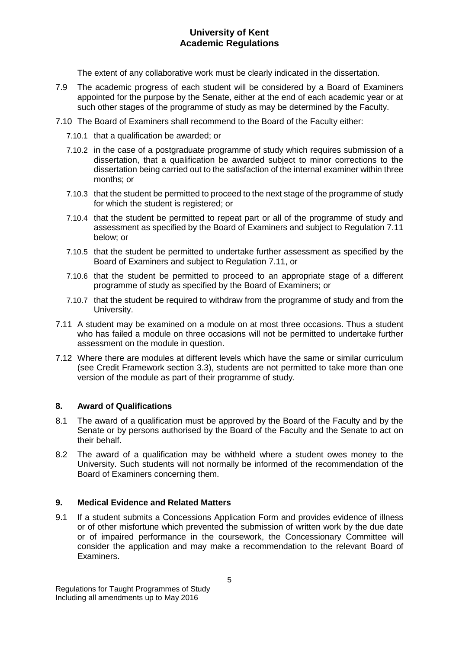The extent of any collaborative work must be clearly indicated in the dissertation.

- 7.9 The academic progress of each student will be considered by a Board of Examiners appointed for the purpose by the Senate, either at the end of each academic year or at such other stages of the programme of study as may be determined by the Faculty.
- 7.10 The Board of Examiners shall recommend to the Board of the Faculty either:
	- 7.10.1 that a qualification be awarded; or
	- 7.10.2 in the case of a postgraduate programme of study which requires submission of a dissertation, that a qualification be awarded subject to minor corrections to the dissertation being carried out to the satisfaction of the internal examiner within three months; or
	- 7.10.3 that the student be permitted to proceed to the next stage of the programme of study for which the student is registered; or
	- 7.10.4 that the student be permitted to repeat part or all of the programme of study and assessment as specified by the Board of Examiners and subject to Regulation 7.11 below; or
	- 7.10.5 that the student be permitted to undertake further assessment as specified by the Board of Examiners and subject to Regulation 7.11, or
	- 7.10.6 that the student be permitted to proceed to an appropriate stage of a different programme of study as specified by the Board of Examiners; or
	- 7.10.7 that the student be required to withdraw from the programme of study and from the University.
- 7.11 A student may be examined on a module on at most three occasions. Thus a student who has failed a module on three occasions will not be permitted to undertake further assessment on the module in question.
- 7.12 Where there are modules at different levels which have the same or similar curriculum (see Credit Framework section 3.3), students are not permitted to take more than one version of the module as part of their programme of study.

# **8. Award of Qualifications**

- 8.1 The award of a qualification must be approved by the Board of the Faculty and by the Senate or by persons authorised by the Board of the Faculty and the Senate to act on their behalf.
- 8.2 The award of a qualification may be withheld where a student owes money to the University. Such students will not normally be informed of the recommendation of the Board of Examiners concerning them.

# **9. Medical Evidence and Related Matters**

9.1 If a student submits a Concessions Application Form and provides evidence of illness or of other misfortune which prevented the submission of written work by the due date or of impaired performance in the coursework, the Concessionary Committee will consider the application and may make a recommendation to the relevant Board of Examiners.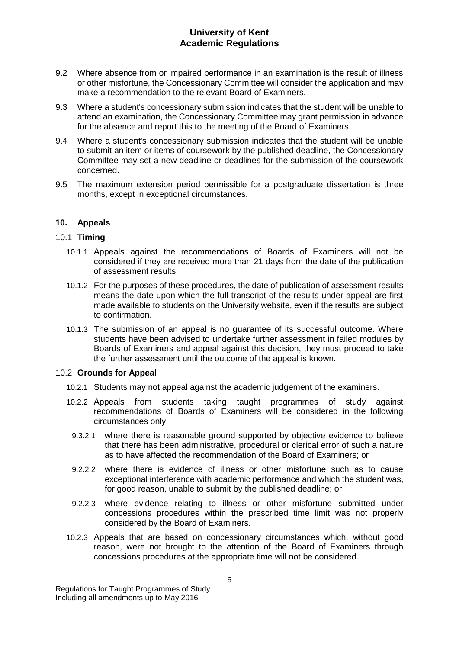- 9.2 Where absence from or impaired performance in an examination is the result of illness or other misfortune, the Concessionary Committee will consider the application and may make a recommendation to the relevant Board of Examiners.
- 9.3 Where a student's concessionary submission indicates that the student will be unable to attend an examination, the Concessionary Committee may grant permission in advance for the absence and report this to the meeting of the Board of Examiners.
- 9.4 Where a student's concessionary submission indicates that the student will be unable to submit an item or items of coursework by the published deadline, the Concessionary Committee may set a new deadline or deadlines for the submission of the coursework concerned.
- 9.5 The maximum extension period permissible for a postgraduate dissertation is three months, except in exceptional circumstances.

#### **10. Appeals**

#### 10.1 **Timing**

- 10.1.1 Appeals against the recommendations of Boards of Examiners will not be considered if they are received more than 21 days from the date of the publication of assessment results.
- 10.1.2 For the purposes of these procedures, the date of publication of assessment results means the date upon which the full transcript of the results under appeal are first made available to students on the University website, even if the results are subject to confirmation.
- 10.1.3 The submission of an appeal is no guarantee of its successful outcome. Where students have been advised to undertake further assessment in failed modules by Boards of Examiners and appeal against this decision, they must proceed to take the further assessment until the outcome of the appeal is known.

#### 10.2 **Grounds for Appeal**

- 10.2.1 Students may not appeal against the academic judgement of the examiners.
- 10.2.2 Appeals from students taking taught programmes of study against recommendations of Boards of Examiners will be considered in the following circumstances only:
	- 9.3.2.1 where there is reasonable ground supported by objective evidence to believe that there has been administrative, procedural or clerical error of such a nature as to have affected the recommendation of the Board of Examiners; or
	- 9.2.2.2 where there is evidence of illness or other misfortune such as to cause exceptional interference with academic performance and which the student was, for good reason, unable to submit by the published deadline; or
	- 9.2.2.3 where evidence relating to illness or other misfortune submitted under concessions procedures within the prescribed time limit was not properly considered by the Board of Examiners.
- 10.2.3 Appeals that are based on concessionary circumstances which, without good reason, were not brought to the attention of the Board of Examiners through concessions procedures at the appropriate time will not be considered.

Regulations for Taught Programmes of Study Including all amendments up to May 2016